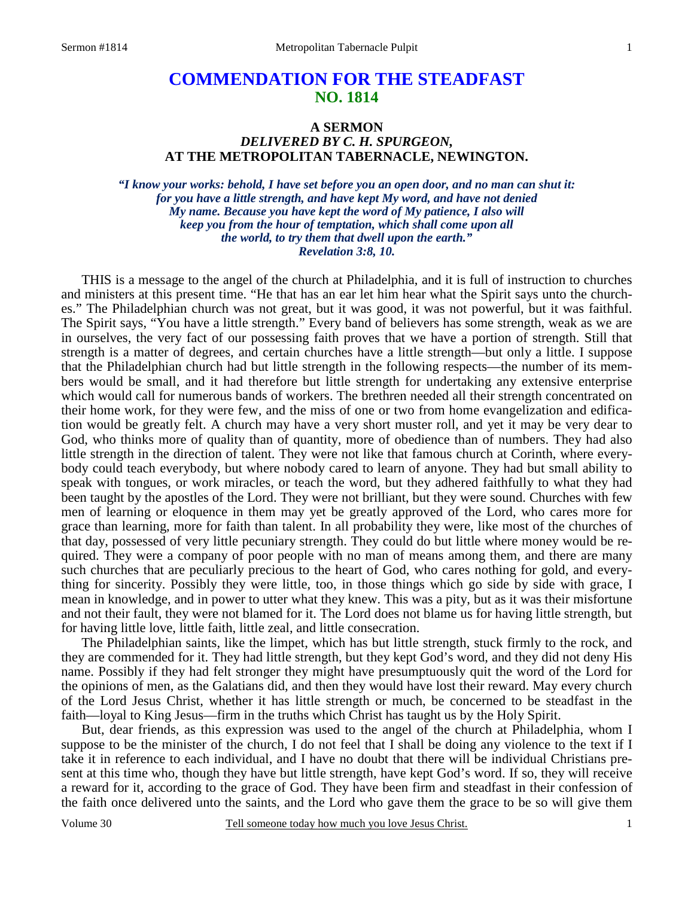# **COMMENDATION FOR THE STEADFAST NO. 1814**

### **A SERMON**  *DELIVERED BY C. H. SPURGEON,*  **AT THE METROPOLITAN TABERNACLE, NEWINGTON.**

*"I know your works: behold, I have set before you an open door, and no man can shut it: for you have a little strength, and have kept My word, and have not denied My name. Because you have kept the word of My patience, I also will keep you from the hour of temptation, which shall come upon all the world, to try them that dwell upon the earth." Revelation 3:8, 10.* 

THIS is a message to the angel of the church at Philadelphia, and it is full of instruction to churches and ministers at this present time. "He that has an ear let him hear what the Spirit says unto the churches." The Philadelphian church was not great, but it was good, it was not powerful, but it was faithful. The Spirit says, "You have a little strength." Every band of believers has some strength, weak as we are in ourselves, the very fact of our possessing faith proves that we have a portion of strength. Still that strength is a matter of degrees, and certain churches have a little strength—but only a little. I suppose that the Philadelphian church had but little strength in the following respects—the number of its members would be small, and it had therefore but little strength for undertaking any extensive enterprise which would call for numerous bands of workers. The brethren needed all their strength concentrated on their home work, for they were few, and the miss of one or two from home evangelization and edification would be greatly felt. A church may have a very short muster roll, and yet it may be very dear to God, who thinks more of quality than of quantity, more of obedience than of numbers. They had also little strength in the direction of talent. They were not like that famous church at Corinth, where everybody could teach everybody, but where nobody cared to learn of anyone. They had but small ability to speak with tongues, or work miracles, or teach the word, but they adhered faithfully to what they had been taught by the apostles of the Lord. They were not brilliant, but they were sound. Churches with few men of learning or eloquence in them may yet be greatly approved of the Lord, who cares more for grace than learning, more for faith than talent. In all probability they were, like most of the churches of that day, possessed of very little pecuniary strength. They could do but little where money would be required. They were a company of poor people with no man of means among them, and there are many such churches that are peculiarly precious to the heart of God, who cares nothing for gold, and everything for sincerity. Possibly they were little, too, in those things which go side by side with grace, I mean in knowledge, and in power to utter what they knew. This was a pity, but as it was their misfortune and not their fault, they were not blamed for it. The Lord does not blame us for having little strength, but for having little love, little faith, little zeal, and little consecration.

 The Philadelphian saints, like the limpet, which has but little strength, stuck firmly to the rock, and they are commended for it. They had little strength, but they kept God's word, and they did not deny His name. Possibly if they had felt stronger they might have presumptuously quit the word of the Lord for the opinions of men, as the Galatians did, and then they would have lost their reward. May every church of the Lord Jesus Christ, whether it has little strength or much, be concerned to be steadfast in the faith—loyal to King Jesus—firm in the truths which Christ has taught us by the Holy Spirit.

 But, dear friends, as this expression was used to the angel of the church at Philadelphia, whom I suppose to be the minister of the church, I do not feel that I shall be doing any violence to the text if I take it in reference to each individual, and I have no doubt that there will be individual Christians present at this time who, though they have but little strength, have kept God's word. If so, they will receive a reward for it, according to the grace of God. They have been firm and steadfast in their confession of the faith once delivered unto the saints, and the Lord who gave them the grace to be so will give them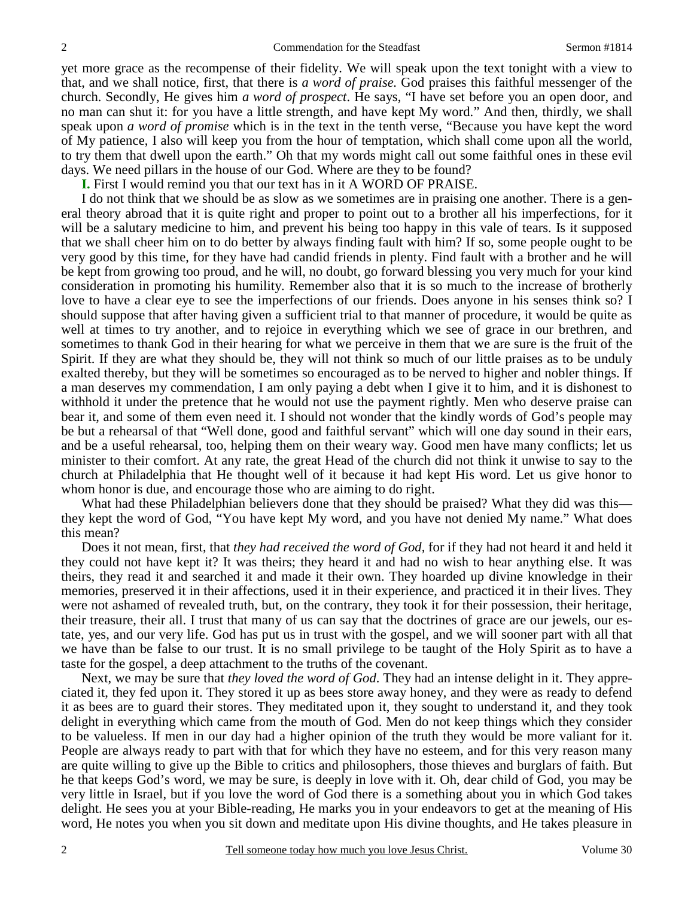yet more grace as the recompense of their fidelity. We will speak upon the text tonight with a view to that, and we shall notice, first, that there is *a word of praise.* God praises this faithful messenger of the church. Secondly, He gives him *a word of prospect*. He says, "I have set before you an open door, and no man can shut it: for you have a little strength, and have kept My word." And then, thirdly, we shall speak upon *a word of promise* which is in the text in the tenth verse, "Because you have kept the word of My patience, I also will keep you from the hour of temptation, which shall come upon all the world, to try them that dwell upon the earth." Oh that my words might call out some faithful ones in these evil days. We need pillars in the house of our God. Where are they to be found?

**I.** First I would remind you that our text has in it A WORD OF PRAISE.

 I do not think that we should be as slow as we sometimes are in praising one another. There is a general theory abroad that it is quite right and proper to point out to a brother all his imperfections, for it will be a salutary medicine to him, and prevent his being too happy in this vale of tears. Is it supposed that we shall cheer him on to do better by always finding fault with him? If so, some people ought to be very good by this time, for they have had candid friends in plenty. Find fault with a brother and he will be kept from growing too proud, and he will, no doubt, go forward blessing you very much for your kind consideration in promoting his humility. Remember also that it is so much to the increase of brotherly love to have a clear eye to see the imperfections of our friends. Does anyone in his senses think so? I should suppose that after having given a sufficient trial to that manner of procedure, it would be quite as well at times to try another, and to rejoice in everything which we see of grace in our brethren, and sometimes to thank God in their hearing for what we perceive in them that we are sure is the fruit of the Spirit. If they are what they should be, they will not think so much of our little praises as to be unduly exalted thereby, but they will be sometimes so encouraged as to be nerved to higher and nobler things. If a man deserves my commendation, I am only paying a debt when I give it to him, and it is dishonest to withhold it under the pretence that he would not use the payment rightly. Men who deserve praise can bear it, and some of them even need it. I should not wonder that the kindly words of God's people may be but a rehearsal of that "Well done, good and faithful servant" which will one day sound in their ears, and be a useful rehearsal, too, helping them on their weary way. Good men have many conflicts; let us minister to their comfort. At any rate, the great Head of the church did not think it unwise to say to the church at Philadelphia that He thought well of it because it had kept His word. Let us give honor to whom honor is due, and encourage those who are aiming to do right.

What had these Philadelphian believers done that they should be praised? What they did was this they kept the word of God, "You have kept My word, and you have not denied My name." What does this mean?

 Does it not mean, first, that *they had received the word of God,* for if they had not heard it and held it they could not have kept it? It was theirs; they heard it and had no wish to hear anything else. It was theirs, they read it and searched it and made it their own. They hoarded up divine knowledge in their memories, preserved it in their affections, used it in their experience, and practiced it in their lives. They were not ashamed of revealed truth, but, on the contrary, they took it for their possession, their heritage, their treasure, their all. I trust that many of us can say that the doctrines of grace are our jewels, our estate, yes, and our very life. God has put us in trust with the gospel, and we will sooner part with all that we have than be false to our trust. It is no small privilege to be taught of the Holy Spirit as to have a taste for the gospel, a deep attachment to the truths of the covenant.

 Next, we may be sure that *they loved the word of God*. They had an intense delight in it. They appreciated it, they fed upon it. They stored it up as bees store away honey, and they were as ready to defend it as bees are to guard their stores. They meditated upon it, they sought to understand it, and they took delight in everything which came from the mouth of God. Men do not keep things which they consider to be valueless. If men in our day had a higher opinion of the truth they would be more valiant for it. People are always ready to part with that for which they have no esteem, and for this very reason many are quite willing to give up the Bible to critics and philosophers, those thieves and burglars of faith. But he that keeps God's word, we may be sure, is deeply in love with it. Oh, dear child of God, you may be very little in Israel, but if you love the word of God there is a something about you in which God takes delight. He sees you at your Bible-reading, He marks you in your endeavors to get at the meaning of His word, He notes you when you sit down and meditate upon His divine thoughts, and He takes pleasure in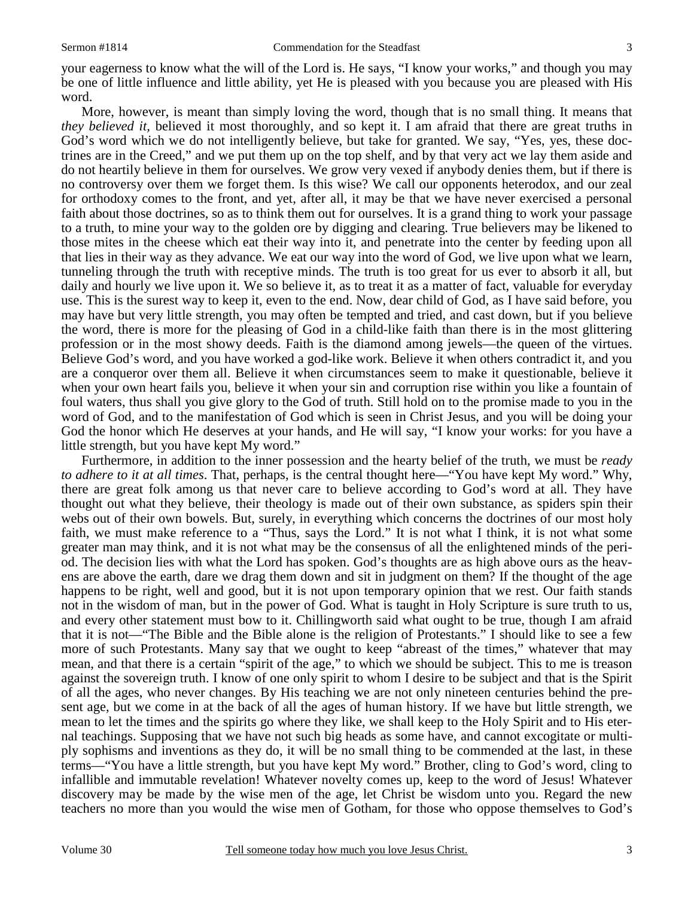your eagerness to know what the will of the Lord is. He says, "I know your works," and though you may be one of little influence and little ability, yet He is pleased with you because you are pleased with His word.

 More, however, is meant than simply loving the word, though that is no small thing. It means that *they believed it,* believed it most thoroughly, and so kept it. I am afraid that there are great truths in God's word which we do not intelligently believe, but take for granted. We say, "Yes, yes, these doctrines are in the Creed," and we put them up on the top shelf, and by that very act we lay them aside and do not heartily believe in them for ourselves. We grow very vexed if anybody denies them, but if there is no controversy over them we forget them. Is this wise? We call our opponents heterodox, and our zeal for orthodoxy comes to the front, and yet, after all, it may be that we have never exercised a personal faith about those doctrines, so as to think them out for ourselves. It is a grand thing to work your passage to a truth, to mine your way to the golden ore by digging and clearing. True believers may be likened to those mites in the cheese which eat their way into it, and penetrate into the center by feeding upon all that lies in their way as they advance. We eat our way into the word of God, we live upon what we learn, tunneling through the truth with receptive minds. The truth is too great for us ever to absorb it all, but daily and hourly we live upon it. We so believe it, as to treat it as a matter of fact, valuable for everyday use. This is the surest way to keep it, even to the end. Now, dear child of God, as I have said before, you may have but very little strength, you may often be tempted and tried, and cast down, but if you believe the word, there is more for the pleasing of God in a child-like faith than there is in the most glittering profession or in the most showy deeds. Faith is the diamond among jewels—the queen of the virtues. Believe God's word, and you have worked a god-like work. Believe it when others contradict it, and you are a conqueror over them all. Believe it when circumstances seem to make it questionable, believe it when your own heart fails you, believe it when your sin and corruption rise within you like a fountain of foul waters, thus shall you give glory to the God of truth. Still hold on to the promise made to you in the word of God, and to the manifestation of God which is seen in Christ Jesus, and you will be doing your God the honor which He deserves at your hands, and He will say, "I know your works: for you have a little strength, but you have kept My word."

 Furthermore, in addition to the inner possession and the hearty belief of the truth, we must be *ready to adhere to it at all times*. That, perhaps, is the central thought here—"You have kept My word." Why, there are great folk among us that never care to believe according to God's word at all. They have thought out what they believe, their theology is made out of their own substance, as spiders spin their webs out of their own bowels. But, surely, in everything which concerns the doctrines of our most holy faith, we must make reference to a "Thus, says the Lord." It is not what I think, it is not what some greater man may think, and it is not what may be the consensus of all the enlightened minds of the period. The decision lies with what the Lord has spoken. God's thoughts are as high above ours as the heavens are above the earth, dare we drag them down and sit in judgment on them? If the thought of the age happens to be right, well and good, but it is not upon temporary opinion that we rest. Our faith stands not in the wisdom of man, but in the power of God. What is taught in Holy Scripture is sure truth to us, and every other statement must bow to it. Chillingworth said what ought to be true, though I am afraid that it is not—"The Bible and the Bible alone is the religion of Protestants." I should like to see a few more of such Protestants. Many say that we ought to keep "abreast of the times," whatever that may mean, and that there is a certain "spirit of the age," to which we should be subject. This to me is treason against the sovereign truth. I know of one only spirit to whom I desire to be subject and that is the Spirit of all the ages, who never changes. By His teaching we are not only nineteen centuries behind the present age, but we come in at the back of all the ages of human history. If we have but little strength, we mean to let the times and the spirits go where they like, we shall keep to the Holy Spirit and to His eternal teachings. Supposing that we have not such big heads as some have, and cannot excogitate or multiply sophisms and inventions as they do, it will be no small thing to be commended at the last, in these terms—"You have a little strength, but you have kept My word." Brother, cling to God's word, cling to infallible and immutable revelation! Whatever novelty comes up, keep to the word of Jesus! Whatever discovery may be made by the wise men of the age, let Christ be wisdom unto you. Regard the new teachers no more than you would the wise men of Gotham, for those who oppose themselves to God's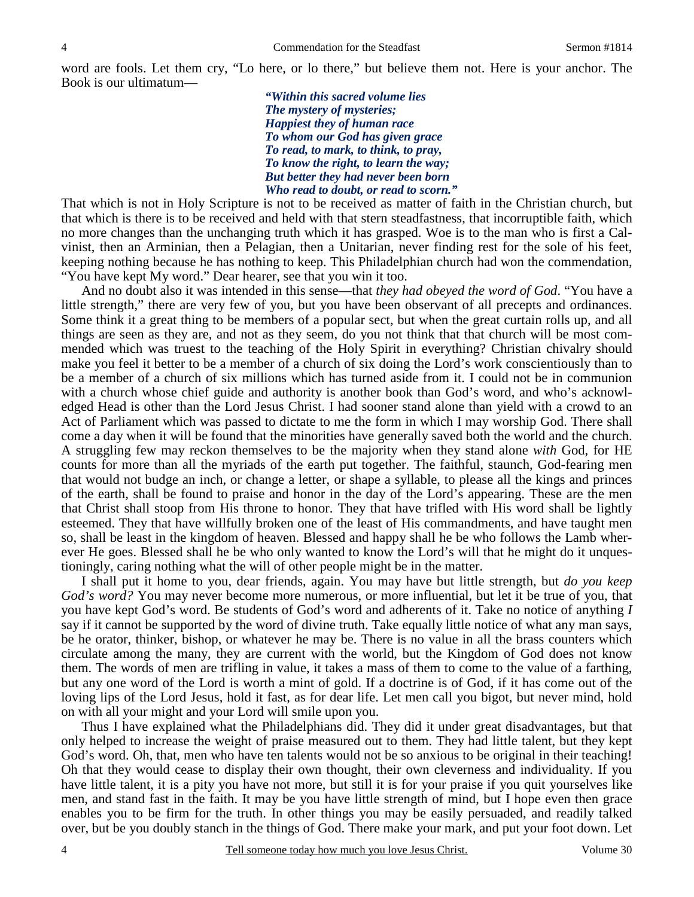word are fools. Let them cry, "Lo here, or lo there," but believe them not. Here is your anchor. The Book is our ultimatum—

> *"Within this sacred volume lies The mystery of mysteries; Happiest they of human race To whom our God has given grace To read, to mark, to think, to pray, To know the right, to learn the way; But better they had never been born Who read to doubt, or read to scorn."*

That which is not in Holy Scripture is not to be received as matter of faith in the Christian church, but that which is there is to be received and held with that stern steadfastness, that incorruptible faith, which no more changes than the unchanging truth which it has grasped. Woe is to the man who is first a Calvinist, then an Arminian, then a Pelagian, then a Unitarian, never finding rest for the sole of his feet, keeping nothing because he has nothing to keep. This Philadelphian church had won the commendation, "You have kept My word." Dear hearer, see that you win it too.

 And no doubt also it was intended in this sense—that *they had obeyed the word of God*. "You have a little strength," there are very few of you, but you have been observant of all precepts and ordinances. Some think it a great thing to be members of a popular sect, but when the great curtain rolls up, and all things are seen as they are, and not as they seem, do you not think that that church will be most commended which was truest to the teaching of the Holy Spirit in everything? Christian chivalry should make you feel it better to be a member of a church of six doing the Lord's work conscientiously than to be a member of a church of six millions which has turned aside from it. I could not be in communion with a church whose chief guide and authority is another book than God's word, and who's acknowledged Head is other than the Lord Jesus Christ. I had sooner stand alone than yield with a crowd to an Act of Parliament which was passed to dictate to me the form in which I may worship God. There shall come a day when it will be found that the minorities have generally saved both the world and the church. A struggling few may reckon themselves to be the majority when they stand alone *with* God, for HE counts for more than all the myriads of the earth put together. The faithful, staunch, God-fearing men that would not budge an inch, or change a letter, or shape a syllable, to please all the kings and princes of the earth, shall be found to praise and honor in the day of the Lord's appearing. These are the men that Christ shall stoop from His throne to honor. They that have trifled with His word shall be lightly esteemed. They that have willfully broken one of the least of His commandments, and have taught men so, shall be least in the kingdom of heaven. Blessed and happy shall he be who follows the Lamb wherever He goes. Blessed shall he be who only wanted to know the Lord's will that he might do it unquestioningly, caring nothing what the will of other people might be in the matter.

 I shall put it home to you, dear friends, again. You may have but little strength, but *do you keep God's word?* You may never become more numerous, or more influential, but let it be true of you, that you have kept God's word. Be students of God's word and adherents of it. Take no notice of anything *I* say if it cannot be supported by the word of divine truth. Take equally little notice of what any man says, be he orator, thinker, bishop, or whatever he may be. There is no value in all the brass counters which circulate among the many, they are current with the world, but the Kingdom of God does not know them. The words of men are trifling in value, it takes a mass of them to come to the value of a farthing, but any one word of the Lord is worth a mint of gold. If a doctrine is of God, if it has come out of the loving lips of the Lord Jesus, hold it fast, as for dear life. Let men call you bigot, but never mind, hold on with all your might and your Lord will smile upon you.

 Thus I have explained what the Philadelphians did. They did it under great disadvantages, but that only helped to increase the weight of praise measured out to them. They had little talent, but they kept God's word. Oh, that, men who have ten talents would not be so anxious to be original in their teaching! Oh that they would cease to display their own thought, their own cleverness and individuality. If you have little talent, it is a pity you have not more, but still it is for your praise if you quit yourselves like men, and stand fast in the faith. It may be you have little strength of mind, but I hope even then grace enables you to be firm for the truth. In other things you may be easily persuaded, and readily talked over, but be you doubly stanch in the things of God. There make your mark, and put your foot down. Let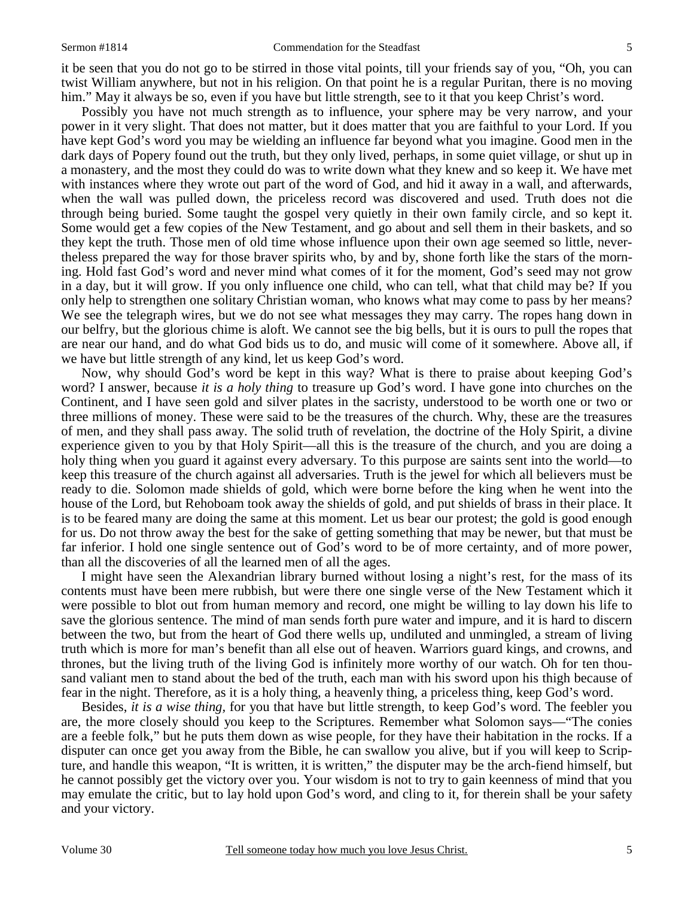it be seen that you do not go to be stirred in those vital points, till your friends say of you, "Oh, you can twist William anywhere, but not in his religion. On that point he is a regular Puritan, there is no moving him." May it always be so, even if you have but little strength, see to it that you keep Christ's word.

 Possibly you have not much strength as to influence, your sphere may be very narrow, and your power in it very slight. That does not matter, but it does matter that you are faithful to your Lord. If you have kept God's word you may be wielding an influence far beyond what you imagine. Good men in the dark days of Popery found out the truth, but they only lived, perhaps, in some quiet village, or shut up in a monastery, and the most they could do was to write down what they knew and so keep it. We have met with instances where they wrote out part of the word of God, and hid it away in a wall, and afterwards, when the wall was pulled down, the priceless record was discovered and used. Truth does not die through being buried. Some taught the gospel very quietly in their own family circle, and so kept it. Some would get a few copies of the New Testament, and go about and sell them in their baskets, and so they kept the truth. Those men of old time whose influence upon their own age seemed so little, nevertheless prepared the way for those braver spirits who, by and by, shone forth like the stars of the morning. Hold fast God's word and never mind what comes of it for the moment, God's seed may not grow in a day, but it will grow. If you only influence one child, who can tell, what that child may be? If you only help to strengthen one solitary Christian woman, who knows what may come to pass by her means? We see the telegraph wires, but we do not see what messages they may carry. The ropes hang down in our belfry, but the glorious chime is aloft. We cannot see the big bells, but it is ours to pull the ropes that are near our hand, and do what God bids us to do, and music will come of it somewhere. Above all, if we have but little strength of any kind, let us keep God's word.

 Now, why should God's word be kept in this way? What is there to praise about keeping God's word? I answer, because *it is a holy thing* to treasure up God's word. I have gone into churches on the Continent, and I have seen gold and silver plates in the sacristy, understood to be worth one or two or three millions of money. These were said to be the treasures of the church. Why, these are the treasures of men, and they shall pass away. The solid truth of revelation, the doctrine of the Holy Spirit, a divine experience given to you by that Holy Spirit—all this is the treasure of the church, and you are doing a holy thing when you guard it against every adversary. To this purpose are saints sent into the world—to keep this treasure of the church against all adversaries. Truth is the jewel for which all believers must be ready to die. Solomon made shields of gold, which were borne before the king when he went into the house of the Lord, but Rehoboam took away the shields of gold, and put shields of brass in their place. It is to be feared many are doing the same at this moment. Let us bear our protest; the gold is good enough for us. Do not throw away the best for the sake of getting something that may be newer, but that must be far inferior. I hold one single sentence out of God's word to be of more certainty, and of more power, than all the discoveries of all the learned men of all the ages.

 I might have seen the Alexandrian library burned without losing a night's rest, for the mass of its contents must have been mere rubbish, but were there one single verse of the New Testament which it were possible to blot out from human memory and record, one might be willing to lay down his life to save the glorious sentence. The mind of man sends forth pure water and impure, and it is hard to discern between the two, but from the heart of God there wells up, undiluted and unmingled, a stream of living truth which is more for man's benefit than all else out of heaven. Warriors guard kings, and crowns, and thrones, but the living truth of the living God is infinitely more worthy of our watch. Oh for ten thousand valiant men to stand about the bed of the truth, each man with his sword upon his thigh because of fear in the night. Therefore, as it is a holy thing, a heavenly thing, a priceless thing, keep God's word.

 Besides, *it is a wise thing,* for you that have but little strength, to keep God's word. The feebler you are, the more closely should you keep to the Scriptures. Remember what Solomon says—"The conies are a feeble folk," but he puts them down as wise people, for they have their habitation in the rocks. If a disputer can once get you away from the Bible, he can swallow you alive, but if you will keep to Scripture, and handle this weapon, "It is written, it is written," the disputer may be the arch-fiend himself, but he cannot possibly get the victory over you. Your wisdom is not to try to gain keenness of mind that you may emulate the critic, but to lay hold upon God's word, and cling to it, for therein shall be your safety and your victory.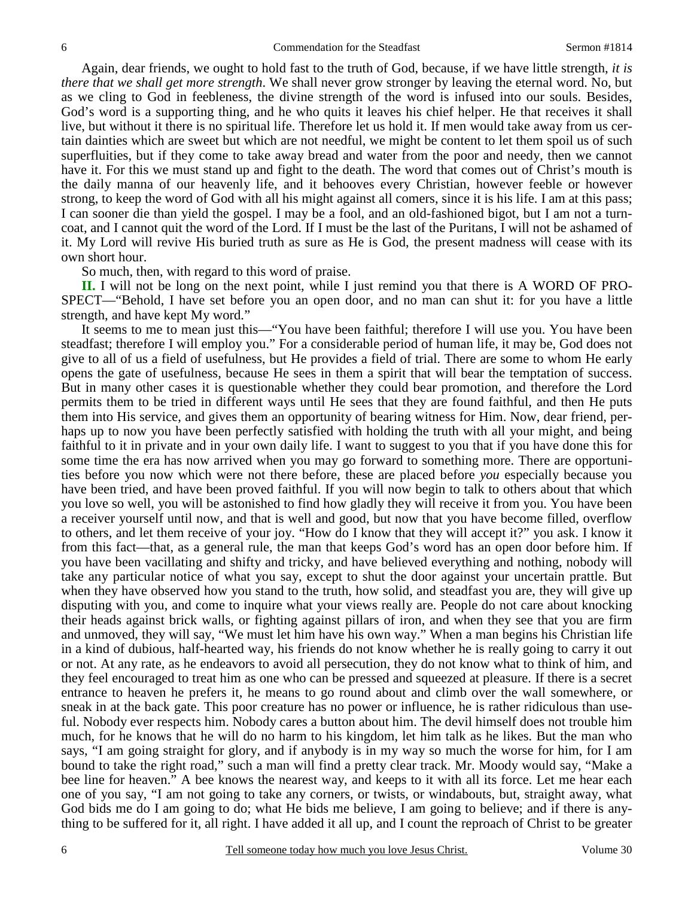Again, dear friends, we ought to hold fast to the truth of God, because, if we have little strength, *it is there that we shall get more strength*. We shall never grow stronger by leaving the eternal word. No, but as we cling to God in feebleness, the divine strength of the word is infused into our souls. Besides, God's word is a supporting thing, and he who quits it leaves his chief helper. He that receives it shall live, but without it there is no spiritual life. Therefore let us hold it. If men would take away from us certain dainties which are sweet but which are not needful, we might be content to let them spoil us of such superfluities, but if they come to take away bread and water from the poor and needy, then we cannot have it. For this we must stand up and fight to the death. The word that comes out of Christ's mouth is the daily manna of our heavenly life, and it behooves every Christian, however feeble or however strong, to keep the word of God with all his might against all comers, since it is his life. I am at this pass; I can sooner die than yield the gospel. I may be a fool, and an old-fashioned bigot, but I am not a turncoat, and I cannot quit the word of the Lord. If I must be the last of the Puritans, I will not be ashamed of it. My Lord will revive His buried truth as sure as He is God, the present madness will cease with its own short hour.

So much, then, with regard to this word of praise.

**II.** I will not be long on the next point, while I just remind you that there is A WORD OF PRO-SPECT—"Behold, I have set before you an open door, and no man can shut it: for you have a little strength, and have kept My word."

 It seems to me to mean just this—"You have been faithful; therefore I will use you. You have been steadfast; therefore I will employ you." For a considerable period of human life, it may be, God does not give to all of us a field of usefulness, but He provides a field of trial. There are some to whom He early opens the gate of usefulness, because He sees in them a spirit that will bear the temptation of success. But in many other cases it is questionable whether they could bear promotion, and therefore the Lord permits them to be tried in different ways until He sees that they are found faithful, and then He puts them into His service, and gives them an opportunity of bearing witness for Him. Now, dear friend, perhaps up to now you have been perfectly satisfied with holding the truth with all your might, and being faithful to it in private and in your own daily life. I want to suggest to you that if you have done this for some time the era has now arrived when you may go forward to something more. There are opportunities before you now which were not there before, these are placed before *you* especially because you have been tried, and have been proved faithful. If you will now begin to talk to others about that which you love so well, you will be astonished to find how gladly they will receive it from you. You have been a receiver yourself until now, and that is well and good, but now that you have become filled, overflow to others, and let them receive of your joy. "How do I know that they will accept it?" you ask. I know it from this fact—that, as a general rule, the man that keeps God's word has an open door before him. If you have been vacillating and shifty and tricky, and have believed everything and nothing, nobody will take any particular notice of what you say, except to shut the door against your uncertain prattle. But when they have observed how you stand to the truth, how solid, and steadfast you are, they will give up disputing with you, and come to inquire what your views really are. People do not care about knocking their heads against brick walls, or fighting against pillars of iron, and when they see that you are firm and unmoved, they will say, "We must let him have his own way." When a man begins his Christian life in a kind of dubious, half-hearted way, his friends do not know whether he is really going to carry it out or not. At any rate, as he endeavors to avoid all persecution, they do not know what to think of him, and they feel encouraged to treat him as one who can be pressed and squeezed at pleasure. If there is a secret entrance to heaven he prefers it, he means to go round about and climb over the wall somewhere, or sneak in at the back gate. This poor creature has no power or influence, he is rather ridiculous than useful. Nobody ever respects him. Nobody cares a button about him. The devil himself does not trouble him much, for he knows that he will do no harm to his kingdom, let him talk as he likes. But the man who says, "I am going straight for glory, and if anybody is in my way so much the worse for him, for I am bound to take the right road," such a man will find a pretty clear track. Mr. Moody would say, "Make a bee line for heaven." A bee knows the nearest way, and keeps to it with all its force. Let me hear each one of you say, "I am not going to take any corners, or twists, or windabouts, but, straight away, what God bids me do I am going to do; what He bids me believe, I am going to believe; and if there is anything to be suffered for it, all right. I have added it all up, and I count the reproach of Christ to be greater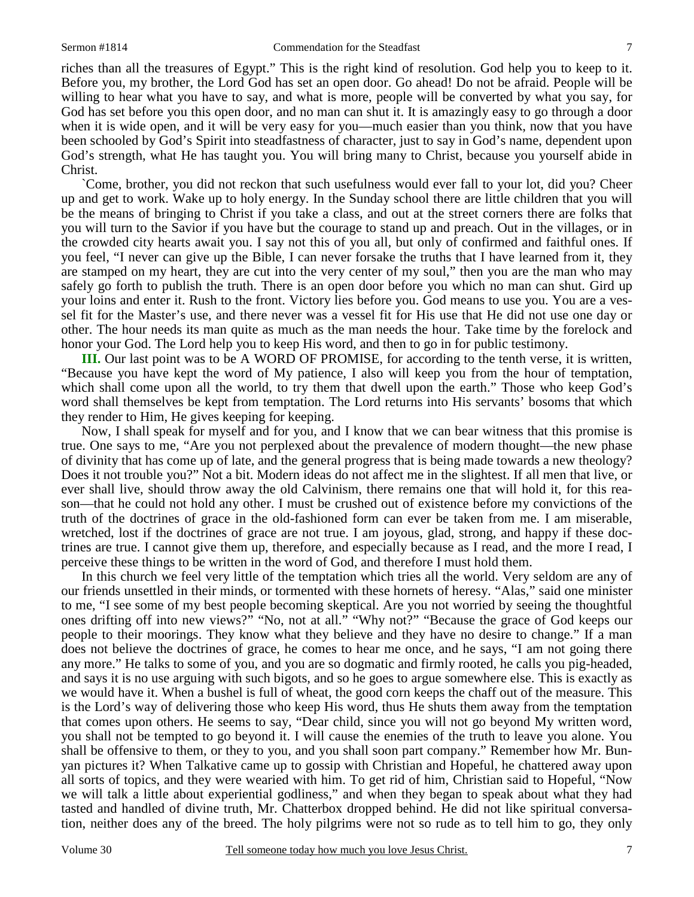riches than all the treasures of Egypt." This is the right kind of resolution. God help you to keep to it. Before you, my brother, the Lord God has set an open door. Go ahead! Do not be afraid. People will be willing to hear what you have to say, and what is more, people will be converted by what you say, for God has set before you this open door, and no man can shut it. It is amazingly easy to go through a door when it is wide open, and it will be very easy for you—much easier than you think, now that you have been schooled by God's Spirit into steadfastness of character, just to say in God's name, dependent upon God's strength, what He has taught you. You will bring many to Christ, because you yourself abide in Christ.

 `Come, brother, you did not reckon that such usefulness would ever fall to your lot, did you? Cheer up and get to work. Wake up to holy energy. In the Sunday school there are little children that you will be the means of bringing to Christ if you take a class, and out at the street corners there are folks that you will turn to the Savior if you have but the courage to stand up and preach. Out in the villages, or in the crowded city hearts await you. I say not this of you all, but only of confirmed and faithful ones. If you feel, "I never can give up the Bible, I can never forsake the truths that I have learned from it, they are stamped on my heart, they are cut into the very center of my soul," then you are the man who may safely go forth to publish the truth. There is an open door before you which no man can shut. Gird up your loins and enter it. Rush to the front. Victory lies before you. God means to use you. You are a vessel fit for the Master's use, and there never was a vessel fit for His use that He did not use one day or other. The hour needs its man quite as much as the man needs the hour. Take time by the forelock and honor your God. The Lord help you to keep His word, and then to go in for public testimony.

**III.** Our last point was to be A WORD OF PROMISE, for according to the tenth verse, it is written, "Because you have kept the word of My patience, I also will keep you from the hour of temptation, which shall come upon all the world, to try them that dwell upon the earth." Those who keep God's word shall themselves be kept from temptation. The Lord returns into His servants' bosoms that which they render to Him, He gives keeping for keeping.

 Now, I shall speak for myself and for you, and I know that we can bear witness that this promise is true. One says to me, "Are you not perplexed about the prevalence of modern thought—the new phase of divinity that has come up of late, and the general progress that is being made towards a new theology? Does it not trouble you?" Not a bit. Modern ideas do not affect me in the slightest. If all men that live, or ever shall live, should throw away the old Calvinism, there remains one that will hold it, for this reason—that he could not hold any other. I must be crushed out of existence before my convictions of the truth of the doctrines of grace in the old-fashioned form can ever be taken from me. I am miserable, wretched, lost if the doctrines of grace are not true. I am joyous, glad, strong, and happy if these doctrines are true. I cannot give them up, therefore, and especially because as I read, and the more I read, I perceive these things to be written in the word of God, and therefore I must hold them.

 In this church we feel very little of the temptation which tries all the world. Very seldom are any of our friends unsettled in their minds, or tormented with these hornets of heresy. "Alas," said one minister to me, "I see some of my best people becoming skeptical. Are you not worried by seeing the thoughtful ones drifting off into new views?" "No, not at all." "Why not?" "Because the grace of God keeps our people to their moorings. They know what they believe and they have no desire to change." If a man does not believe the doctrines of grace, he comes to hear me once, and he says, "I am not going there any more." He talks to some of you, and you are so dogmatic and firmly rooted, he calls you pig-headed, and says it is no use arguing with such bigots, and so he goes to argue somewhere else. This is exactly as we would have it. When a bushel is full of wheat, the good corn keeps the chaff out of the measure. This is the Lord's way of delivering those who keep His word, thus He shuts them away from the temptation that comes upon others. He seems to say, "Dear child, since you will not go beyond My written word, you shall not be tempted to go beyond it. I will cause the enemies of the truth to leave you alone. You shall be offensive to them, or they to you, and you shall soon part company." Remember how Mr. Bunyan pictures it? When Talkative came up to gossip with Christian and Hopeful, he chattered away upon all sorts of topics, and they were wearied with him. To get rid of him, Christian said to Hopeful, "Now we will talk a little about experiential godliness," and when they began to speak about what they had tasted and handled of divine truth, Mr. Chatterbox dropped behind. He did not like spiritual conversation, neither does any of the breed. The holy pilgrims were not so rude as to tell him to go, they only